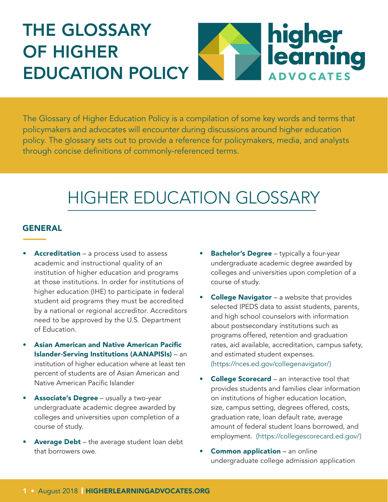# THE GLOSSARY OF HIGHER EDUCATION POLICY



The Glossary of Higher Education Policy is a compilation of some key words and terms that policymakers and advocates will encounter during discussions around higher education policy. The glossary sets out to provide a reference for policymakers, media, and analysts through concise definitions of commonly-referenced terms.

## HIGHER EDUCATION GLOSSARY

#### GENERAL

- Accreditation a process used to assess academic and instructional quality of an institution of higher education and programs at those institutions. In order for institutions of higher education (IHE) to participate in federal student aid programs they must be accredited by a national or regional accreditor. Accreditors need to be approved by the U.S. Department of Education.
- Asian American and Native American Pacific Islander-Serving Institutions (AANAPISIs) – an institution of higher education where at least ten percent of students are of Asian American and Native American Pacific Islander
- **Associate's Degree** usually a two-year undergraduate academic degree awarded by colleges and universities upon completion of a course of study.
- Average Debt the average student loan debt that borrowers owe.
- **Bachelor's Degree** typically a four-year undergraduate academic degree awarded by colleges and universities upon completion of a course of study.
- **College Navigator** a website that provides selected IPEDS data to assist students, parents, and high school counselors with information about postsecondary institutions such as programs offered, retention and graduation rates, aid available, accreditation, campus safety, and estimated student expenses. (https://nces.ed.gov/collegenavigator/)
- **College Scorecard** an interactive tool that provides students and families clear information on institutions of higher education location, size, campus setting, degrees offered, costs, graduation rate, loan default rate, average amount of federal student loans borrowed, and employment. (https://collegescorecard.ed.gov/)
- Common application an online undergraduate college admission application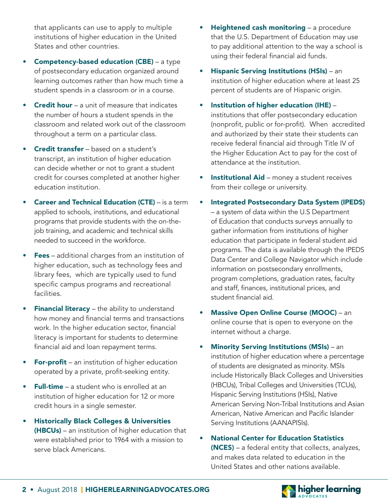that applicants can use to apply to multiple institutions of higher education in the United States and other countries.

- Competency-based education (CBE) a type of postsecondary education organized around learning outcomes rather than how much time a student spends in a classroom or in a course.
- **Credit hour** a unit of measure that indicates the number of hours a student spends in the classroom and related work out of the classroom throughout a term on a particular class.
- **Credit transfer** based on a student's transcript, an institution of higher education can decide whether or not to grant a student credit for courses completed at another higher education institution.
- **Career and Technical Education (CTE)** is a term applied to schools, institutions, and educational programs that provide students with the on-thejob training, and academic and technical skills needed to succeed in the workforce.
- Fees additional charges from an institution of higher education, such as technology fees and library fees, which are typically used to fund specific campus programs and recreational facilities.
- Financial literacy the ability to understand how money and financial terms and transactions work. In the higher education sector, financial literacy is important for students to determine financial aid and loan repayment terms.
- **For-profit** an institution of higher education operated by a private, profit-seeking entity.
- **Full-time** a student who is enrolled at an institution of higher education for 12 or more credit hours in a single semester.
- Historically Black Colleges & Universities (HBCUs) – an institution of higher education that were established prior to 1964 with a mission to serve black Americans.
- Heightened cash monitoring a procedure that the U.S. Department of Education may use to pay additional attention to the way a school is using their federal financial aid funds.
- Hispanic Serving Institutions (HSIs) an institution of higher education where at least 25 percent of students are of Hispanic origin.
- Institution of higher education (IHE) institutions that offer postsecondary education (nonprofit, public or for-profit). When accredited and authorized by their state their students can receive federal financial aid through Title IV of the Higher Education Act to pay for the cost of attendance at the institution.
- Institutional Aid money a student receives from their college or university.
- Integrated Postsecondary Data System (IPEDS) – a system of data within the U.S Department of Education that conducts surveys annually to gather information from institutions of higher education that participate in federal student aid programs. The data is available through the IPEDS Data Center and College Navigator which include information on postsecondary enrollments, program completions, graduation rates, faculty and staff, finances, institutional prices, and student financial aid.
- Massive Open Online Course (MOOC) an online course that is open to everyone on the internet without a charge.
- Minority Serving Institutions (MSIs) an institution of higher education where a percentage of students are designated as minority. MSIs include Historically Black Colleges and Universities (HBCUs), Tribal Colleges and Universities (TCUs), Hispanic Serving Institutions (HSIs), Native American Serving Non-Tribal Institutions and Asian American, Native American and Pacific Islander Serving Institutions (AANAPISIs).
- National Center for Education Statistics (NCES) – a federal entity that collects, analyzes, and makes data related to education in the United States and other nations available.



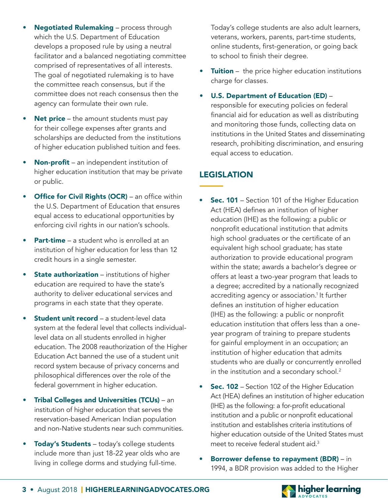- Negotiated Rulemaking process through which the U.S. Department of Education develops a proposed rule by using a neutral facilitator and a balanced negotiating committee comprised of representatives of all interests. The goal of negotiated rulemaking is to have the committee reach consensus, but if the committee does not reach consensus then the agency can formulate their own rule.
- Net price the amount students must pay for their college expenses after grants and scholarships are deducted from the institutions of higher education published tuition and fees.
- **Non-profit** an independent institution of higher education institution that may be private or public.
- **Office for Civil Rights (OCR)** an office within the U.S. Department of Education that ensures equal access to educational opportunities by enforcing civil rights in our nation's schools.
- **Part-time** a student who is enrolled at an institution of higher education for less than 12 credit hours in a single semester.
- **State authorization** institutions of higher education are required to have the state's authority to deliver educational services and programs in each state that they operate.
- Student unit record a student-level data system at the federal level that collects individuallevel data on all students enrolled in higher education. The 2008 reauthorization of the Higher Education Act banned the use of a student unit record system because of privacy concerns and philosophical differences over the role of the federal government in higher education.
- Tribal Colleges and Universities (TCUs) an institution of higher education that serves the reservation-based American Indian population and non-Native students near such communities.
- Today's Students today's college students include more than just 18-22 year olds who are living in college dorms and studying full-time.

Today's college students are also adult learners, veterans, workers, parents, part-time students, online students, first-generation, or going back to school to finish their degree.

- Tuition the price higher education institutions charge for classes.
	- U.S. Department of Education (ED) responsible for executing policies on federal financial aid for education as well as distributing and monitoring those funds, collecting data on institutions in the United States and disseminating research, prohibiting discrimination, and ensuring equal access to education.

### LEGISLATION

- **Sec. 101** Section 101 of the Higher Education Act (HEA) defines an institution of higher education (IHE) as the following: a public or nonprofit educational institution that admits high school graduates or the certificate of an equivalent high school graduate; has state authorization to provide educational program within the state; awards a bachelor's degree or offers at least a two-year program that leads to a degree; accredited by a nationally recognized accrediting agency or association.<sup>1</sup> It further defines an institution of higher education (IHE) as the following: a public or nonprofit education institution that offers less than a oneyear program of training to prepare students for gainful employment in an occupation; an institution of higher education that admits students who are dually or concurrently enrolled in the institution and a secondary school.<sup>2</sup>
- **Sec. 102** Section 102 of the Higher Education Act (HEA) defines an institution of higher education (IHE) as the following: a for-profit educational institution and a public or nonprofit educational institution and establishes criteria institutions of higher education outside of the United States must meet to receive federal student aid.<sup>3</sup>
- Borrower defense to repayment (BDR) in 1994, a BDR provision was added to the Higher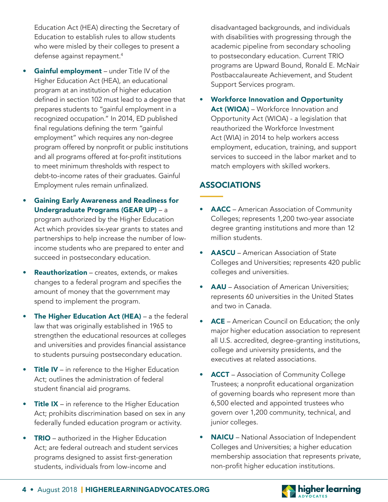Education Act (HEA) directing the Secretary of Education to establish rules to allow students who were misled by their colleges to present a defense against repayment.4

- Gainful employment under Title IV of the Higher Education Act (HEA), an educational program at an institution of higher education defined in section 102 must lead to a degree that prepares students to "gainful employment in a recognized occupation." In 2014, ED published final regulations defining the term "gainful employment" which requires any non-degree program offered by nonprofit or public institutions and all programs offered at for-profit institutions to meet minimum thresholds with respect to debt-to-income rates of their graduates. Gainful Employment rules remain unfinalized.
- Gaining Early Awareness and Readiness for Undergraduate Programs (GEAR UP) – a program authorized by the Higher Education Act which provides six-year grants to states and partnerships to help increase the number of lowincome students who are prepared to enter and succeed in postsecondary education.
- Reauthorization creates, extends, or makes changes to a federal program and specifies the amount of money that the government may spend to implement the program.
- **The Higher Education Act (HEA)** a the federal law that was originally established in 1965 to strengthen the educational resources at colleges and universities and provides financial assistance to students pursuing postsecondary education.
- **Title IV** in reference to the Higher Education Act; outlines the administration of federal student financial aid programs.
- Title IX in reference to the Higher Education Act; prohibits discrimination based on sex in any federally funded education program or activity.
- **TRIO** authorized in the Higher Education Act; are federal outreach and student services programs designed to assist first-generation students, individuals from low-income and

disadvantaged backgrounds, and individuals with disabilities with progressing through the academic pipeline from secondary schooling to postsecondary education. Current TRIO programs are Upward Bound, Ronald E. McNair Postbaccalaureate Achievement, and Student Support Services program.

• Workforce Innovation and Opportunity Act (WIOA) – Workforce Innovation and Opportunity Act (WIOA) - a legislation that reauthorized the Workforce Investment Act (WIA) in 2014 to help workers access employment, education, training, and support services to succeed in the labor market and to match employers with skilled workers.

### ASSOCIATIONS

- AACC American Association of Community Colleges; represents 1,200 two-year associate degree granting institutions and more than 12 million students.
- AASCU American Association of State Colleges and Universities; represents 420 public colleges and universities.
- AAU Association of American Universities: represents 60 universities in the United States and two in Canada.
- ACE American Council on Education; the only major higher education association to represent all U.S. accredited, degree-granting institutions, college and university presidents, and the executives at related associations.
- ACCT Association of Community College Trustees; a nonprofit educational organization of governing boards who represent more than 6,500 elected and appointed trustees who govern over 1,200 community, technical, and junior colleges.
- NAICU National Association of Independent Colleges and Universities; a higher education membership association that represents private, non-profit higher education institutions.



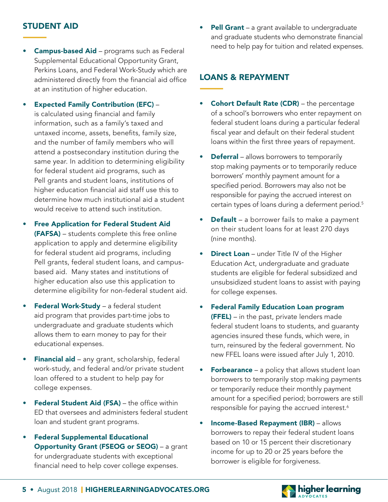- Campus-based Aid programs such as Federal Supplemental Educational Opportunity Grant, Perkins Loans, and Federal Work-Study which are administered directly from the financial aid office at an institution of higher education.
- Expected Family Contribution (EFC) is calculated using financial and family information, such as a family's taxed and untaxed income, assets, benefits, family size, and the number of family members who will attend a postsecondary institution during the same year. In addition to determining eligibility for federal student aid programs, such as Pell grants and student loans, institutions of higher education financial aid staff use this to determine how much institutional aid a student would receive to attend such institution.
- Free Application for Federal Student Aid (FAFSA) – students complete this free online application to apply and determine eligibility for federal student aid programs, including Pell grants, federal student loans, and campusbased aid. Many states and institutions of higher education also use this application to determine eligibility for non-federal student aid.
- Federal Work-Study a federal student aid program that provides part-time jobs to undergraduate and graduate students which allows them to earn money to pay for their educational expenses.
- Financial aid any grant, scholarship, federal work-study, and federal and/or private student loan offered to a student to help pay for college expenses.
- Federal Student Aid (FSA) the office within ED that oversees and administers federal student loan and student grant programs.
- Federal Supplemental Educational Opportunity Grant (FSEOG or SEOG) – a grant for undergraduate students with exceptional financial need to help cover college expenses.

**STUDENT AID** • **Pell Grant** – a grant available to undergraduate and graduate students who demonstrate financial need to help pay for tuition and related expenses.

#### LOANS & REPAYMENT

- **Cohort Default Rate (CDR)** the percentage of a school's borrowers who enter repayment on federal student loans during a particular federal fiscal year and default on their federal student loans within the first three years of repayment.
- **Deferral** allows borrowers to temporarily stop making payments or to temporarily reduce borrowers' monthly payment amount for a specified period. Borrowers may also not be responsible for paying the accrued interest on certain types of loans during a deferment period.5
- Default a borrower fails to make a payment on their student loans for at least 270 days (nine months).
- **Direct Loan** under Title IV of the Higher Education Act, undergraduate and graduate students are eligible for federal subsidized and unsubsidized student loans to assist with paying for college expenses.
- Federal Family Education Loan program **(FFEL)** – in the past, private lenders made federal student loans to students, and guaranty agencies insured these funds, which were, in turn, reinsured by the federal government. No new FFEL loans were issued after July 1, 2010.
- **Forbearance** a policy that allows student loan borrowers to temporarily stop making payments or temporarily reduce their monthly payment amount for a specified period; borrowers are still responsible for paying the accrued interest.<sup>6</sup>
- Income-Based Repayment (IBR) allows borrowers to repay their federal student loans based on 10 or 15 percent their discretionary income for up to 20 or 25 years before the borrower is eligible for forgiveness.